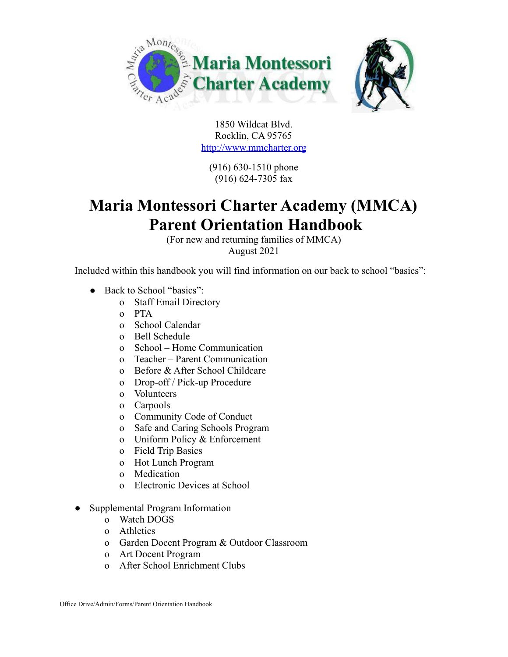

1850 Wildcat Blvd. Rocklin, CA 95765

<http://www.mmcharter.org>

(916) 630-1510 phone (916) 624-7305 fax

# **Maria Montessori Charter Academy (MMCA) Parent Orientation Handbook**

(For new and returning families of MMCA) August 2021

Included within this handbook you will find information on our back to school "basics":

- Back to School "basics":
	- o Staff Email Directory
	- o PTA
	- o School Calendar
	- o Bell Schedule
	- o School Home Communication
	- o Teacher Parent Communication
	- o Before & After School Childcare
	- o Drop-off / Pick-up Procedure
	- o Volunteers
	- o Carpools
	- o Community Code of Conduct
	- o Safe and Caring Schools Program
	- o Uniform Policy & Enforcement
	- o Field Trip Basics
	- o Hot Lunch Program
	- o Medication
	- o Electronic Devices at School
- Supplemental Program Information
	- o Watch DOGS
	- o Athletics
	- o Garden Docent Program & Outdoor Classroom
	- o Art Docent Program
	- o After School Enrichment Clubs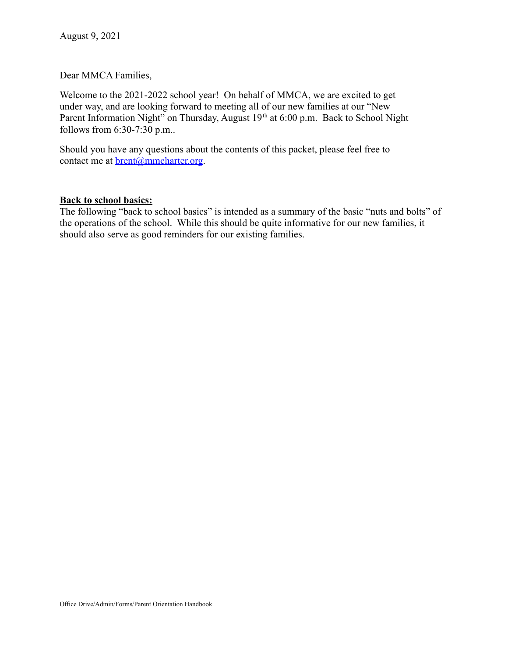Dear MMCA Families,

Welcome to the 2021-2022 school year! On behalf of MMCA, we are excited to get under way, and are looking forward to meeting all of our new families at our "New Parent Information Night" on Thursday, August 19<sup>th</sup> at 6:00 p.m. Back to School Night follows from 6:30-7:30 p.m..

Should you have any questions about the contents of this packet, please feel free to contact me at <u>brent@mmcharter.org</u>.

#### **Back to school basics:**

The following "back to school basics" is intended as a summary of the basic "nuts and bolts" of the operations of the school. While this should be quite informative for our new families, it should also serve as good reminders for our existing families.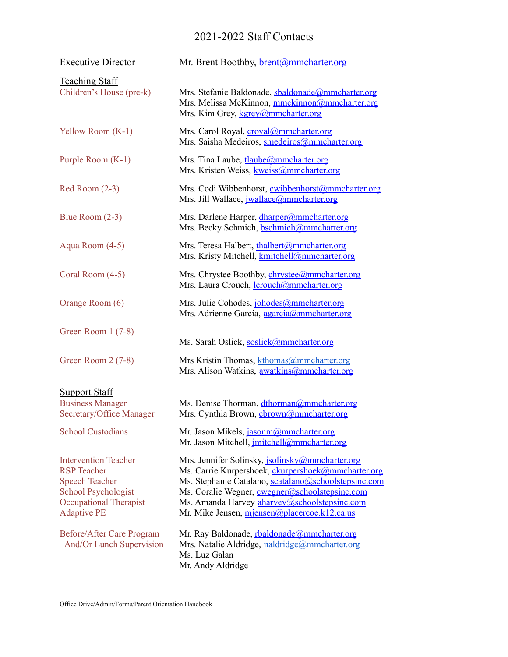## 2021-2022 Staff Contacts

| <b>Executive Director</b>                                                                                                                                | Mr. Brent Boothby, <b>brent</b> @mmcharter.org                                                                                                                                                                                                                                                                  |
|----------------------------------------------------------------------------------------------------------------------------------------------------------|-----------------------------------------------------------------------------------------------------------------------------------------------------------------------------------------------------------------------------------------------------------------------------------------------------------------|
| <b>Teaching Staff</b><br>Children's House (pre-k)                                                                                                        | Mrs. Stefanie Baldonade, sbaldonade@mmcharter.org<br>Mrs. Melissa McKinnon, mmckinnon@mmcharter.org<br>Mrs. Kim Grey, kgrey@mmcharter.org                                                                                                                                                                       |
| Yellow Room (K-1)                                                                                                                                        | Mrs. Carol Royal, croyal@mmcharter.org<br>Mrs. Saisha Medeiros, smedeiros@mmcharter.org                                                                                                                                                                                                                         |
| Purple Room (K-1)                                                                                                                                        | Mrs. Tina Laube, tlaube@mmcharter.org<br>Mrs. Kristen Weiss, kweiss@mmcharter.org                                                                                                                                                                                                                               |
| $Red Room(2-3)$                                                                                                                                          | Mrs. Codi Wibbenhorst, cwibbenhorst@mmcharter.org<br>Mrs. Jill Wallace, <i>jwallace@mmcharter.org</i>                                                                                                                                                                                                           |
| Blue Room $(2-3)$                                                                                                                                        | Mrs. Darlene Harper, dharper@mmcharter.org<br>Mrs. Becky Schmich, bschmich@mmcharter.org                                                                                                                                                                                                                        |
| Aqua Room (4-5)                                                                                                                                          | Mrs. Teresa Halbert, thalbert@mmcharter.org<br>Mrs. Kristy Mitchell, kmitchell@mmcharter.org                                                                                                                                                                                                                    |
| Coral Room (4-5)                                                                                                                                         | Mrs. Chrystee Boothby, <i>chrystee@mmcharter.org</i><br>Mrs. Laura Crouch, <i>lcrouch</i> @mmcharter.org                                                                                                                                                                                                        |
| Orange Room (6)                                                                                                                                          | Mrs. Julie Cohodes, johodes@mmcharter.org<br>Mrs. Adrienne Garcia, agarcia@mmcharter.org                                                                                                                                                                                                                        |
| Green Room $1(7-8)$                                                                                                                                      | Ms. Sarah Oslick, soslick@mmcharter.org                                                                                                                                                                                                                                                                         |
| Green Room 2 (7-8)                                                                                                                                       | Mrs Kristin Thomas, kthomas@mmcharter.org<br>Mrs. Alison Watkins, awatkins@mmcharter.org                                                                                                                                                                                                                        |
| <b>Support Staff</b><br><b>Business Manager</b><br>Secretary/Office Manager                                                                              | Ms. Denise Thorman, dthorman@mmcharter.org<br>Mrs. Cynthia Brown, cbrown@mmcharter.org                                                                                                                                                                                                                          |
| <b>School Custodians</b>                                                                                                                                 | Mr. Jason Mikels, jasonm@mmcharter.org<br>Mr. Jason Mitchell, <i>imitchell@mmcharter.org</i>                                                                                                                                                                                                                    |
| <b>Intervention Teacher</b><br><b>RSP</b> Teacher<br><b>Speech Teacher</b><br>School Psychologist<br><b>Occupational Therapist</b><br><b>Adaptive PE</b> | Mrs. Jennifer Solinsky, jsolinsky@mmcharter.org<br>Ms. Carrie Kurpershoek, ckurpershoek@mmcharter.org<br>Ms. Stephanie Catalano, scatalano@schoolstepsinc.com<br>Ms. Coralie Wegner, cwegner@schoolstepsinc.com<br>Ms. Amanda Harvey aharvey@schoolstepsinc.com<br>Mr. Mike Jensen, mjensen@placercoe.k12.ca.us |
| Before/After Care Program<br>And/Or Lunch Supervision                                                                                                    | Mr. Ray Baldonade, rbaldonade@mmcharter.org<br>Mrs. Natalie Aldridge, naldridge@mmcharter.org<br>Ms. Luz Galan<br>Mr. Andy Aldridge                                                                                                                                                                             |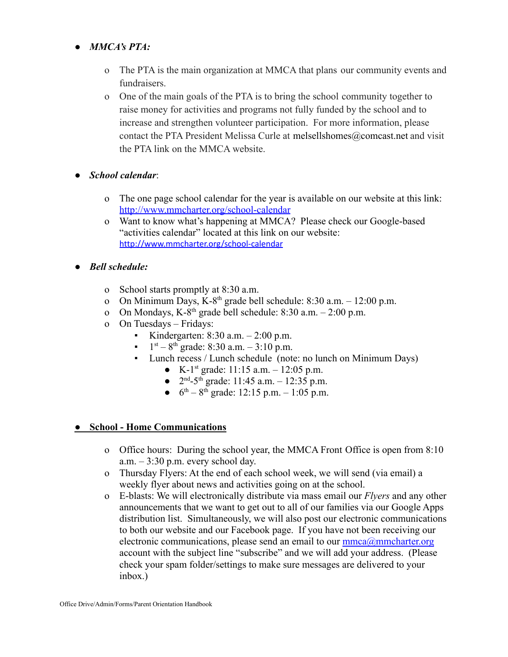## ● *MMCA's PTA:*

- o The PTA is the main organization at MMCA that plans our community events and fundraisers.
- o One of the main goals of the PTA is to bring the school community together to raise money for activities and programs not fully funded by the school and to increase and strengthen volunteer participation. For more information, please contact the PTA President Melissa Curle at melsellshomes@comcast.net and visit the PTA link on the MMCA website.
- *School calendar*:
	- o The one page school calendar for the year is available on our website at this link: <http://www.mmcharter.org/school-calendar>
	- o Want to know what's happening at MMCA? Please check our Google-based "activities calendar" located at this link on our website: <http://www.mmcharter.org/school-calendar>
- *● Bell schedule:*
	- o School starts promptly at 8:30 a.m.
	- o On Minimum Days, K-8<sup>th</sup> grade bell schedule:  $8:30$  a.m.  $-12:00$  p.m.
	- o On Mondays, K-8<sup>th</sup> grade bell schedule:  $8:30$  a.m.  $-2:00$  p.m.
	- o On Tuesdays Fridays:
		- Kindergarten:  $8:30$  a.m.  $-2:00$  p.m.
		- $1<sup>st</sup> 8<sup>th</sup>$  grade: 8:30 a.m.  $-3:10$  p.m.
		- Lunch recess / Lunch schedule (note: no lunch on Minimum Days)
			- K-1<sup>st</sup> grade: 11:15 a.m.  $12:05$  p.m.
			- $2<sup>nd</sup> 5<sup>th</sup>$  grade: 11:45 a.m.  $12:35$  p.m.
			- $6^{th} 8^{th}$  grade: 12:15 p.m.  $1:05$  p.m.

## **● School - Home Communications**

- o Office hours: During the school year, the MMCA Front Office is open from 8:10  $a.m. - 3:30$  p.m. every school day.
- o Thursday Flyers: At the end of each school week, we will send (via email) a weekly flyer about news and activities going on at the school.
- o E-blasts: We will electronically distribute via mass email our *Flyers* and any other announcements that we want to get out to all of our families via our Google Apps distribution list. Simultaneously, we will also post our electronic communications to both our website and our Facebook page. If you have not been receiving our electronic communications, please send an email to our  $\text{mmc}$ a $\textcircled{a}$ mmcharter.org account with the subject line "subscribe" and we will add your address. (Please check your spam folder/settings to make sure messages are delivered to your inbox.)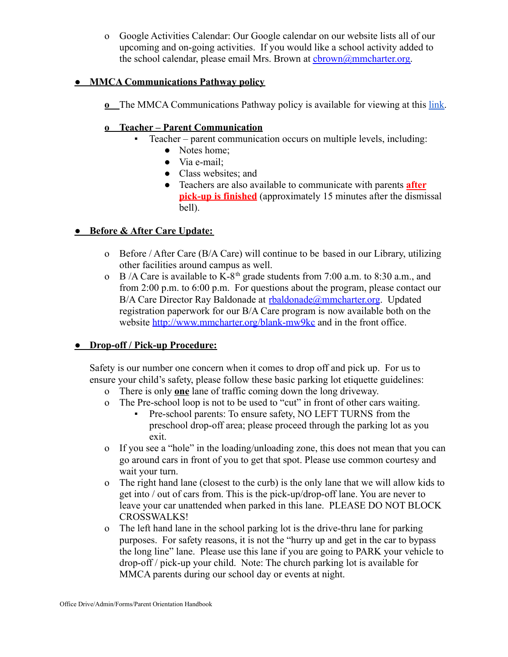o Google Activities Calendar: Our Google calendar on our website lists all of our upcoming and on-going activities. If you would like a school activity added to the school calendar, please email Mrs. Brown at chrown@mmcharter.org.

## **● MMCA Communications Pathway policy**

**<u>o**</u> The MMCA Communications Pathway policy is available for viewing at this [link.](https://c42096c6-2e4d-493d-bdff-126f872232dd.filesusr.com/ugd/4b8266_6e9e9162901441518969eb35a16e1fbc.pdf)

## **o Teacher – Parent Communication**

- Teacher parent communication occurs on multiple levels, including:
	- Notes home;
	- Via e-mail:
	- Class websites; and
	- Teachers are also available to communicate with parents **after pick-up is finished** (approximately 15 minutes after the dismissal bell).

## **● Before & After Care Update:**

- o Before / After Care (B/A Care) will continue to be based in our Library, utilizing other facilities around campus as well.
- o B /A Care is available to K-8<sup>th</sup> grade students from 7:00 a.m. to 8:30 a.m., and from 2:00 p.m. to 6:00 p.m. For questions about the program, please contact our B/A Care Director Ray Baldonade at [rbaldonade@mmcharter.org](mailto:rbaldonade@mmcharter.org). Updated registration paperwork for our B/A Care program is now available both on the website <http://www.mmcharter.org/blank-mw9kc> and in the front office.

## **● Drop-off / Pick-up Procedure:**

Safety is our number one concern when it comes to drop off and pick up. For us to ensure your child's safety, please follow these basic parking lot etiquette guidelines:

- o There is only **one** lane of traffic coming down the long driveway.
- o The Pre-school loop is not to be used to "cut" in front of other cars waiting.
	- Pre-school parents: To ensure safety, NO LEFT TURNS from the preschool drop-off area; please proceed through the parking lot as you exit.
- o If you see a "hole" in the loading/unloading zone, this does not mean that you can go around cars in front of you to get that spot. Please use common courtesy and wait your turn.
- o The right hand lane (closest to the curb) is the only lane that we will allow kids to get into / out of cars from. This is the pick-up/drop-off lane. You are never to leave your car unattended when parked in this lane. PLEASE DO NOT BLOCK CROSSWALKS!
- o The left hand lane in the school parking lot is the drive-thru lane for parking purposes. For safety reasons, it is not the "hurry up and get in the car to bypass the long line" lane. Please use this lane if you are going to PARK your vehicle to drop-off / pick-up your child. Note: The church parking lot is available for MMCA parents during our school day or events at night.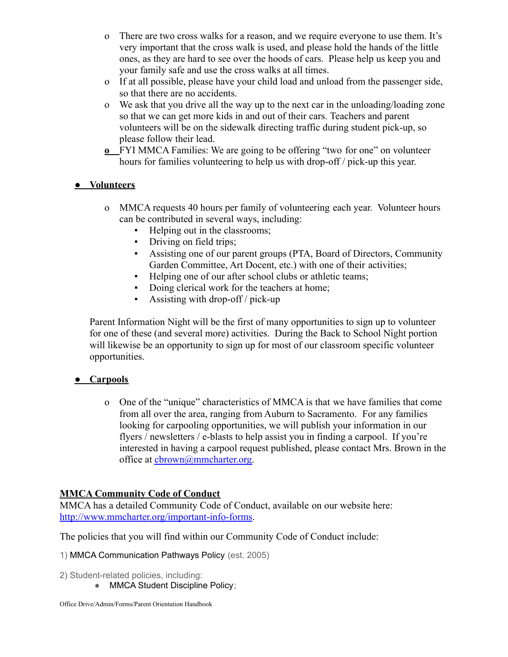- o There are two cross walks for a reason, and we require everyone to use them. It's very important that the cross walk is used, and please hold the hands of the little ones, as they are hard to see over the hoods of cars. Please help us keep you and your family safe and use the cross walks at all times.
- o If at all possible, please have your child load and unload from the passenger side, so that there are no accidents.
- o We ask that you drive all the way up to the next car in the unloading/loading zone so that we can get more kids in and out of their cars. Teachers and parent volunteers will be on the sidewalk directing traffic during student pick-up, so please follow their lead.
- **o** FYI MMCA Families: We are going to be offering "two for one" on volunteer hours for families volunteering to help us with drop-off / pick-up this year.

## **● Volunteers**

- o MMCA requests 40 hours per family of volunteering each year. Volunteer hours can be contributed in several ways, including:
	- Helping out in the classrooms;
	- Driving on field trips;
	- Assisting one of our parent groups (PTA, Board of Directors, Community Garden Committee, Art Docent, etc.) with one of their activities;
	- Helping one of our after school clubs or athletic teams;
	- Doing clerical work for the teachers at home;
	- $\blacksquare$  Assisting with drop-off / pick-up

Parent Information Night will be the first of many opportunities to sign up to volunteer for one of these (and several more) activities. During the Back to School Night portion will likewise be an opportunity to sign up for most of our classroom specific volunteer opportunities.

## **● Carpools**

o One of the "unique" characteristics of MMCA is that we have families that come from all over the area, ranging from Auburn to Sacramento. For any families looking for carpooling opportunities, we will publish your information in our flyers / newsletters / e-blasts to help assist you in finding a carpool. If you're interested in having a carpool request published, please contact Mrs. Brown in the office at [cbrown@mmcharter.org.](mailto:cbrown@mmcharter.org)

## **MMCA Community Code of Conduct**

MMCA has a detailed Community Code of Conduct, available on our website here: <http://www.mmcharter.org/important-info-forms>.

The policies that you will find within our Community Code of Conduct include:

1) MMCA Communication Pathways Policy (est. 2005)

- 2) Student-related policies, including:
	- MMCA Student Discipline Policy;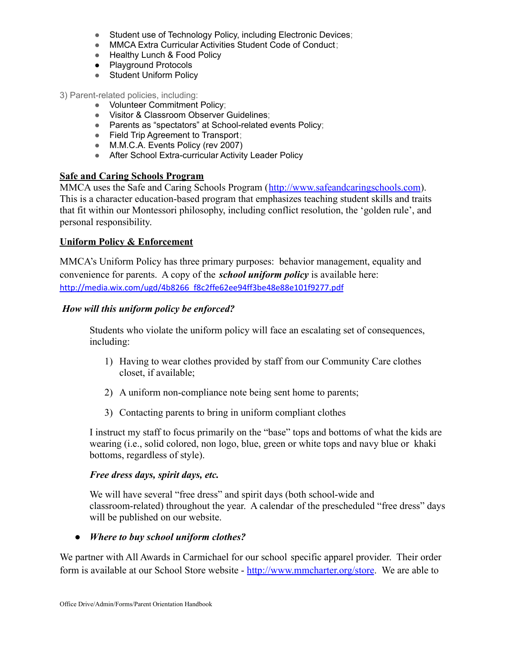- Student use of Technology Policy, including Electronic Devices;
- MMCA Extra Curricular Activities Student Code of Conduct;
- Healthy Lunch & Food Policy
- Playground Protocols
- Student Uniform Policy

3) Parent-related policies, including:

- Volunteer Commitment Policy;
- Visitor & Classroom Observer Guidelines;
- Parents as "spectators" at School-related events Policy:
- Field Trip Agreement to Transport;
- M.M.C.A. Events Policy (rev 2007)
- After School Extra-curricular Activity Leader Policy

#### **Safe and Caring Schools Program**

MMCA uses the Safe and Caring Schools Program (<http://www.safeandcaringschools.com>). This is a character education-based program that emphasizes teaching student skills and traits that fit within our Montessori philosophy, including conflict resolution, the 'golden rule', and personal responsibility.

## **Uniform Policy & Enforcement**

MMCA's Uniform Policy has three primary purposes: behavior management, equality and convenience for parents. A copy of the *school uniform policy* is available here: [http://media.wix.com/ugd/4b8266\\_f8c2ffe62ee94ff3be48e88e101f9277.pdf](http://media.wix.com/ugd/4b8266_f8c2ffe62ee94ff3be48e88e101f9277.pdf)

#### *How will this uniform policy be enforced?*

Students who violate the uniform policy will face an escalating set of consequences, including:

- 1) Having to wear clothes provided by staff from our Community Care clothes closet, if available;
- 2) A uniform non-compliance note being sent home to parents;
- 3) Contacting parents to bring in uniform compliant clothes

I instruct my staff to focus primarily on the "base" tops and bottoms of what the kids are wearing (i.e., solid colored, non logo, blue, green or white tops and navy blue or khaki bottoms, regardless of style).

#### *Free dress days, spirit days, etc.*

We will have several "free dress" and spirit days (both school-wide and classroom-related) throughout the year. A calendar of the prescheduled "free dress" days will be published on our website.

*● Where to buy school uniform clothes?*

We partner with All Awards in Carmichael for our school specific apparel provider. Their order form is available at our School Store website - <http://www.mmcharter.org/store>. We are able to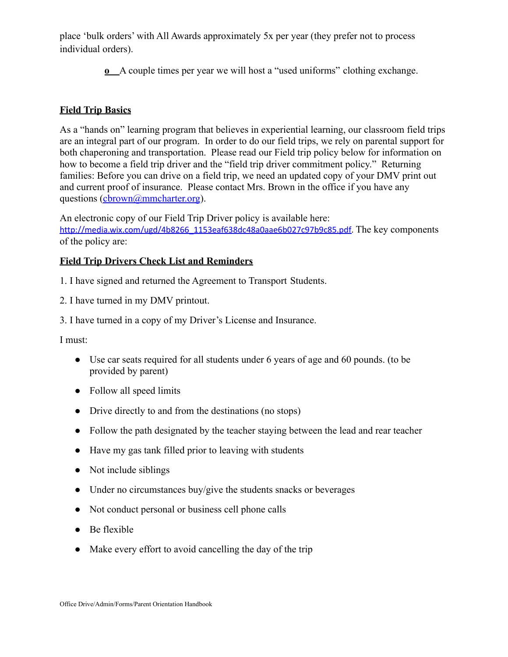place 'bulk orders' with All Awards approximately 5x per year (they prefer not to process individual orders).

**o** A couple times per year we will host a "used uniforms" clothing exchange.

## **Field Trip Basics**

As a "hands on" learning program that believes in experiential learning, our classroom field trips are an integral part of our program. In order to do our field trips, we rely on parental support for both chaperoning and transportation. Please read our Field trip policy below for information on how to become a field trip driver and the "field trip driver commitment policy." Returning families: Before you can drive on a field trip, we need an updated copy of your DMV print out and current proof of insurance. Please contact Mrs. Brown in the office if you have any questions [\(cbrown@mmcharter.org](mailto:cbrown@mmcharter.org)).

An electronic copy of our Field Trip Driver policy is available here: [http://media.wix.com/ugd/4b8266\\_1153eaf638dc48a0aae6b027c97b9c85.pdf.](http://media.wix.com/ugd/4b8266_1153eaf638dc48a0aae6b027c97b9c85.pdf) The key components of the policy are:

## **Field Trip Drivers Check List and Reminders**

1. I have signed and returned the Agreement to Transport Students.

2. I have turned in my DMV printout.

3. I have turned in a copy of my Driver's License and Insurance.

I must:

- Use car seats required for all students under 6 years of age and 60 pounds. (to be provided by parent)
- Follow all speed limits
- Drive directly to and from the destinations (no stops)
- Follow the path designated by the teacher staying between the lead and rear teacher
- Have my gas tank filled prior to leaving with students
- Not include siblings
- Under no circumstances buy/give the students snacks or beverages
- Not conduct personal or business cell phone calls
- Be flexible
- Make every effort to avoid cancelling the day of the trip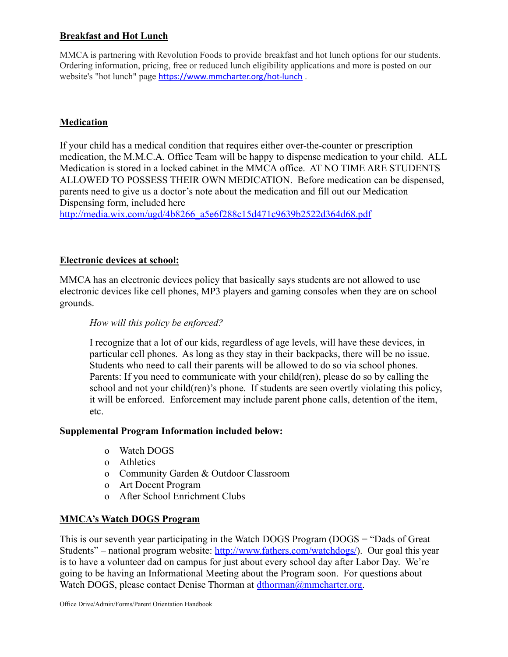## **Breakfast and Hot Lunch**

MMCA is partnering with Revolution Foods to provide breakfast and hot lunch options for our students. Ordering information, pricing, free or reduced lunch eligibility applications and more is posted on our website's "hot lunch" page <https://www.mmcharter.org/hot-lunch> .

## **Medication**

If your child has a medical condition that requires either over-the-counter or prescription medication, the M.M.C.A. Office Team will be happy to dispense medication to your child. ALL Medication is stored in a locked cabinet in the MMCA office. AT NO TIME ARE STUDENTS ALLOWED TO POSSESS THEIR OWN MEDICATION. Before medication can be dispensed, parents need to give us a doctor's note about the medication and fill out our Medication Dispensing form, included here

[http://media.wix.com/ugd/4b8266\\_a5e6f288c15d471c9639b2522d364d68.pdf](http://media.wix.com/ugd/4b8266_a5e6f288c15d471c9639b2522d364d68.pdf)

## **Electronic devices at school:**

MMCA has an electronic devices policy that basically says students are not allowed to use electronic devices like cell phones, MP3 players and gaming consoles when they are on school grounds.

## *How will this policy be enforced?*

I recognize that a lot of our kids, regardless of age levels, will have these devices, in particular cell phones. As long as they stay in their backpacks, there will be no issue. Students who need to call their parents will be allowed to do so via school phones. Parents: If you need to communicate with your child(ren), please do so by calling the school and not your child(ren)'s phone. If students are seen overtly violating this policy, it will be enforced. Enforcement may include parent phone calls, detention of the item, etc.

#### **Supplemental Program Information included below:**

- o Watch DOGS
- o Athletics
- o Community Garden & Outdoor Classroom
- o Art Docent Program
- o After School Enrichment Clubs

## **MMCA's Watch DOGS Program**

This is our seventh year participating in the Watch DOGS Program (DOGS = "Dads of Great Students" – national program website: <http://www.fathers.com/watchdogs/>). Our goal this year is to have a volunteer dad on campus for just about every school day after Labor Day. We're going to be having an Informational Meeting about the Program soon. For questions about Watch DOGS, please contact Denise Thorman at [dthorman@mmcharter.org.](mailto:dthorman@mmcharter.org)